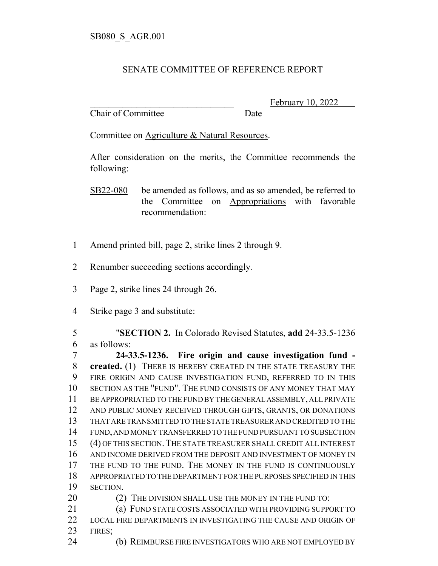## SENATE COMMITTEE OF REFERENCE REPORT

Chair of Committee Date

February 10, 2022

Committee on Agriculture & Natural Resources.

After consideration on the merits, the Committee recommends the following:

SB22-080 be amended as follows, and as so amended, be referred to the Committee on Appropriations with favorable recommendation:

- Amend printed bill, page 2, strike lines 2 through 9.
- Renumber succeeding sections accordingly.
- Page 2, strike lines 24 through 26.
- Strike page 3 and substitute:

 "**SECTION 2.** In Colorado Revised Statutes, **add** 24-33.5-1236 as follows:

 **24-33.5-1236. Fire origin and cause investigation fund - created.** (1) THERE IS HEREBY CREATED IN THE STATE TREASURY THE FIRE ORIGIN AND CAUSE INVESTIGATION FUND, REFERRED TO IN THIS SECTION AS THE "FUND". THE FUND CONSISTS OF ANY MONEY THAT MAY BE APPROPRIATED TO THE FUND BY THE GENERAL ASSEMBLY, ALL PRIVATE AND PUBLIC MONEY RECEIVED THROUGH GIFTS, GRANTS, OR DONATIONS THAT ARE TRANSMITTED TO THE STATE TREASURER AND CREDITED TO THE FUND, AND MONEY TRANSFERRED TO THE FUND PURSUANT TO SUBSECTION (4) OF THIS SECTION.THE STATE TREASURER SHALL CREDIT ALL INTEREST AND INCOME DERIVED FROM THE DEPOSIT AND INVESTMENT OF MONEY IN THE FUND TO THE FUND. THE MONEY IN THE FUND IS CONTINUOUSLY APPROPRIATED TO THE DEPARTMENT FOR THE PURPOSES SPECIFIED IN THIS SECTION. 20 (2) THE DIVISION SHALL USE THE MONEY IN THE FUND TO:

 (a) FUND STATE COSTS ASSOCIATED WITH PROVIDING SUPPORT TO LOCAL FIRE DEPARTMENTS IN INVESTIGATING THE CAUSE AND ORIGIN OF FIRES;

(b) REIMBURSE FIRE INVESTIGATORS WHO ARE NOT EMPLOYED BY